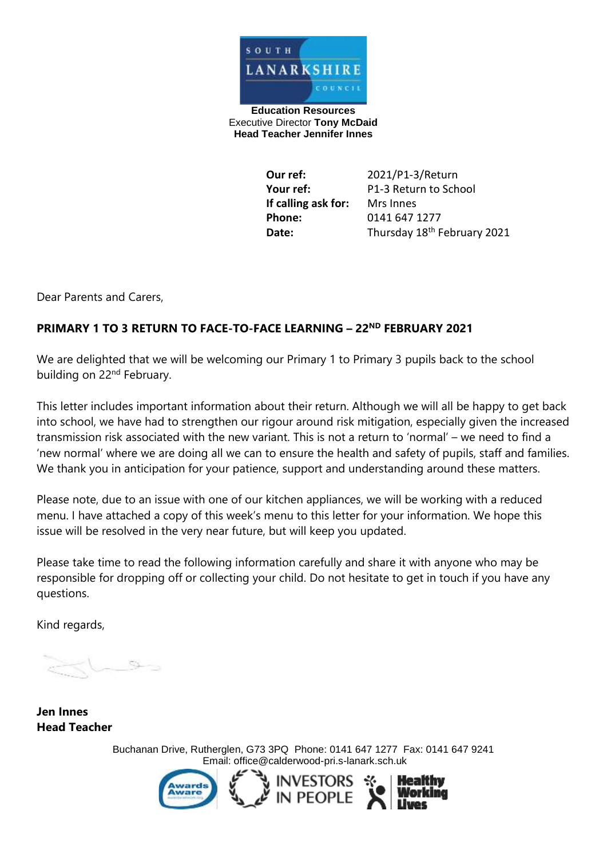

**Education Resources** Executive Director **Tony McDaid Head Teacher Jennifer Innes** 

> **Our ref:** 2021/P1-3/Return **Your ref:** P1-3 Return to School **If calling ask for:** Mrs Innes **Phone:** 0141 647 1277 Date: Thursday 18<sup>th</sup> February 2021

Dear Parents and Carers,

#### **PRIMARY 1 TO 3 RETURN TO FACE-TO-FACE LEARNING – 22ND FEBRUARY 2021**

We are delighted that we will be welcoming our Primary 1 to Primary 3 pupils back to the school building on 22<sup>nd</sup> February.

This letter includes important information about their return. Although we will all be happy to get back into school, we have had to strengthen our rigour around risk mitigation, especially given the increased transmission risk associated with the new variant. This is not a return to 'normal' – we need to find a 'new normal' where we are doing all we can to ensure the health and safety of pupils, staff and families. We thank you in anticipation for your patience, support and understanding around these matters.

Please note, due to an issue with one of our kitchen appliances, we will be working with a reduced menu. I have attached a copy of this week's menu to this letter for your information. We hope this issue will be resolved in the very near future, but will keep you updated.

Please take time to read the following information carefully and share it with anyone who may be responsible for dropping off or collecting your child. Do not hesitate to get in touch if you have any questions.

Kind regards,

 $\frac{1}{2}$ 

**Jen Innes Head Teacher** 

> Buchanan Drive, Rutherglen, G73 3PQ Phone: 0141 647 1277 Fax: 0141 647 9241 Email: [office@calderwood-pri.s-lanark.sch.uk](mailto:office@calderwood-pri.s-lanark.sch.uk)

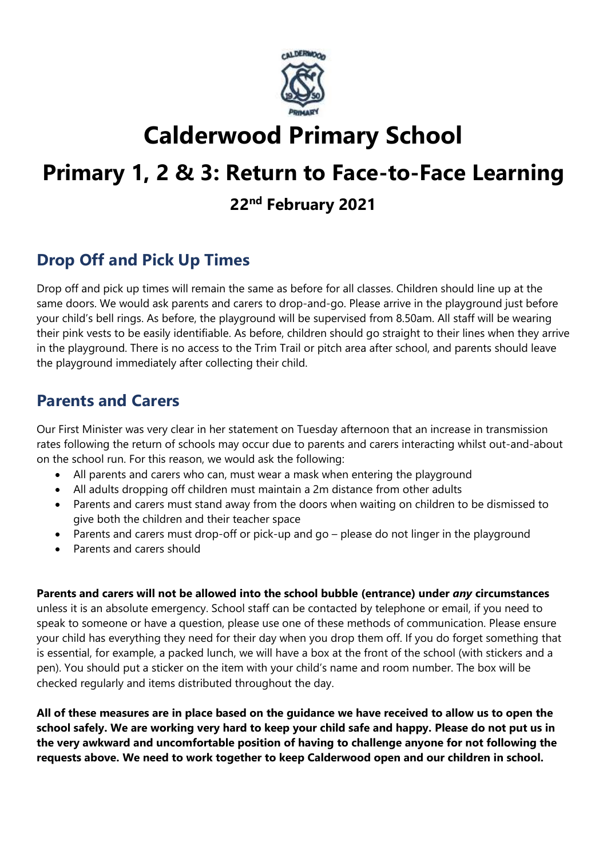

# **Calderwood Primary School**

# **Primary 1, 2 & 3: Return to Face-to-Face Learning**

### **22nd February 2021**

# **Drop Off and Pick Up Times**

Drop off and pick up times will remain the same as before for all classes. Children should line up at the same doors. We would ask parents and carers to drop-and-go. Please arrive in the playground just before your child's bell rings. As before, the playground will be supervised from 8.50am. All staff will be wearing their pink vests to be easily identifiable. As before, children should go straight to their lines when they arrive in the playground. There is no access to the Trim Trail or pitch area after school, and parents should leave the playground immediately after collecting their child.

### **Parents and Carers**

Our First Minister was very clear in her statement on Tuesday afternoon that an increase in transmission rates following the return of schools may occur due to parents and carers interacting whilst out-and-about on the school run. For this reason, we would ask the following:

- All parents and carers who can, must wear a mask when entering the playground
- All adults dropping off children must maintain a 2m distance from other adults
- Parents and carers must stand away from the doors when waiting on children to be dismissed to give both the children and their teacher space
- Parents and carers must drop-off or pick-up and go please do not linger in the playground
- Parents and carers should

**Parents and carers will not be allowed into the school bubble (entrance) under** *any* **circumstances** unless it is an absolute emergency. School staff can be contacted by telephone or email, if you need to speak to someone or have a question, please use one of these methods of communication. Please ensure your child has everything they need for their day when you drop them off. If you do forget something that is essential, for example, a packed lunch, we will have a box at the front of the school (with stickers and a pen). You should put a sticker on the item with your child's name and room number. The box will be checked regularly and items distributed throughout the day.

**All of these measures are in place based on the guidance we have received to allow us to open the school safely. We are working very hard to keep your child safe and happy. Please do not put us in the very awkward and uncomfortable position of having to challenge anyone for not following the requests above. We need to work together to keep Calderwood open and our children in school.**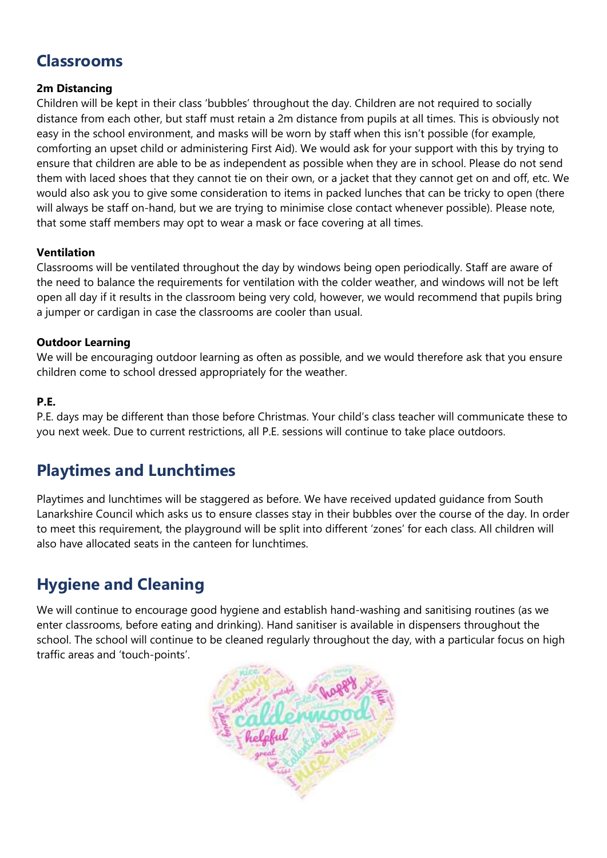### **Classrooms**

#### **2m Distancing**

Children will be kept in their class 'bubbles' throughout the day. Children are not required to socially distance from each other, but staff must retain a 2m distance from pupils at all times. This is obviously not easy in the school environment, and masks will be worn by staff when this isn't possible (for example, comforting an upset child or administering First Aid). We would ask for your support with this by trying to ensure that children are able to be as independent as possible when they are in school. Please do not send them with laced shoes that they cannot tie on their own, or a jacket that they cannot get on and off, etc. We would also ask you to give some consideration to items in packed lunches that can be tricky to open (there will always be staff on-hand, but we are trying to minimise close contact whenever possible). Please note, that some staff members may opt to wear a mask or face covering at all times.

#### **Ventilation**

Classrooms will be ventilated throughout the day by windows being open periodically. Staff are aware of the need to balance the requirements for ventilation with the colder weather, and windows will not be left open all day if it results in the classroom being very cold, however, we would recommend that pupils bring a jumper or cardigan in case the classrooms are cooler than usual.

#### **Outdoor Learning**

We will be encouraging outdoor learning as often as possible, and we would therefore ask that you ensure children come to school dressed appropriately for the weather.

#### **P.E.**

P.E. days may be different than those before Christmas. Your child's class teacher will communicate these to you next week. Due to current restrictions, all P.E. sessions will continue to take place outdoors.

### **Playtimes and Lunchtimes**

Playtimes and lunchtimes will be staggered as before. We have received updated guidance from South Lanarkshire Council which asks us to ensure classes stay in their bubbles over the course of the day. In order to meet this requirement, the playground will be split into different 'zones' for each class. All children will also have allocated seats in the canteen for lunchtimes.

# **Hygiene and Cleaning**

We will continue to encourage good hygiene and establish hand-washing and sanitising routines (as we enter classrooms, before eating and drinking). Hand sanitiser is available in dispensers throughout the school. The school will continue to be cleaned regularly throughout the day, with a particular focus on high traffic areas and 'touch-points'.

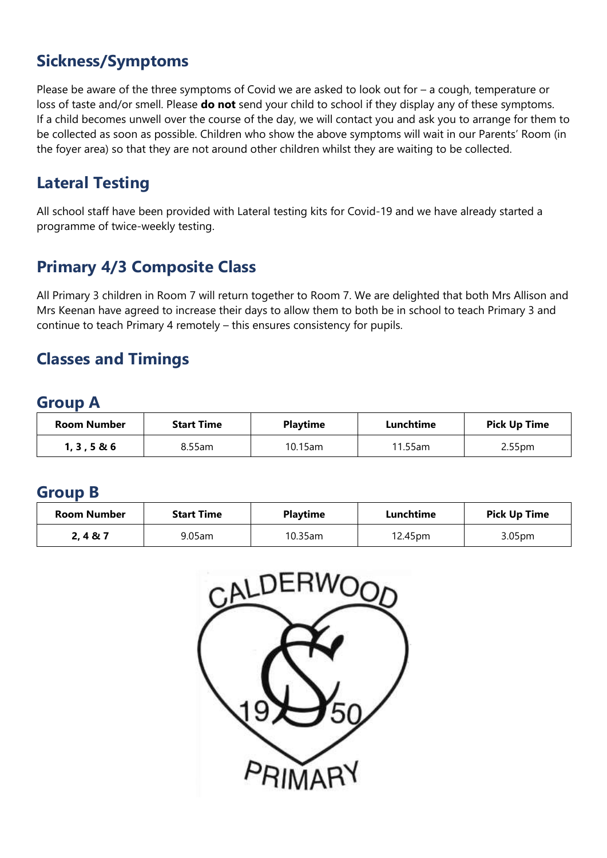## **Sickness/Symptoms**

Please be aware of the three symptoms of Covid we are asked to look out for – a cough, temperature or loss of taste and/or smell. Please **do not** send your child to school if they display any of these symptoms. If a child becomes unwell over the course of the day, we will contact you and ask you to arrange for them to be collected as soon as possible. Children who show the above symptoms will wait in our Parents' Room (in the foyer area) so that they are not around other children whilst they are waiting to be collected.

## **Lateral Testing**

All school staff have been provided with Lateral testing kits for Covid-19 and we have already started a programme of twice-weekly testing.

# **Primary 4/3 Composite Class**

All Primary 3 children in Room 7 will return together to Room 7. We are delighted that both Mrs Allison and Mrs Keenan have agreed to increase their days to allow them to both be in school to teach Primary 3 and continue to teach Primary 4 remotely – this ensures consistency for pupils.

### **Classes and Timings**

### **Group A**

| <b>Room Number</b> | <b>Start Time</b> | <b>Playtime</b> | Lunchtime | <b>Pick Up Time</b> |
|--------------------|-------------------|-----------------|-----------|---------------------|
| 1, 3, 5 & 80       | 8.55am            | $10.15$ am      | 11.55am   | 2.55 <sub>pm</sub>  |

### **Group B**

| <b>Room Number</b> | <b>Start Time</b> | <b>Playtime</b> | Lunchtime | <b>Pick Up Time</b> |
|--------------------|-------------------|-----------------|-----------|---------------------|
| 2, 4 & 8 & 7       | 9.05am            | $10.35$ am      | 12.45pm   | 3.05 <sub>pm</sub>  |